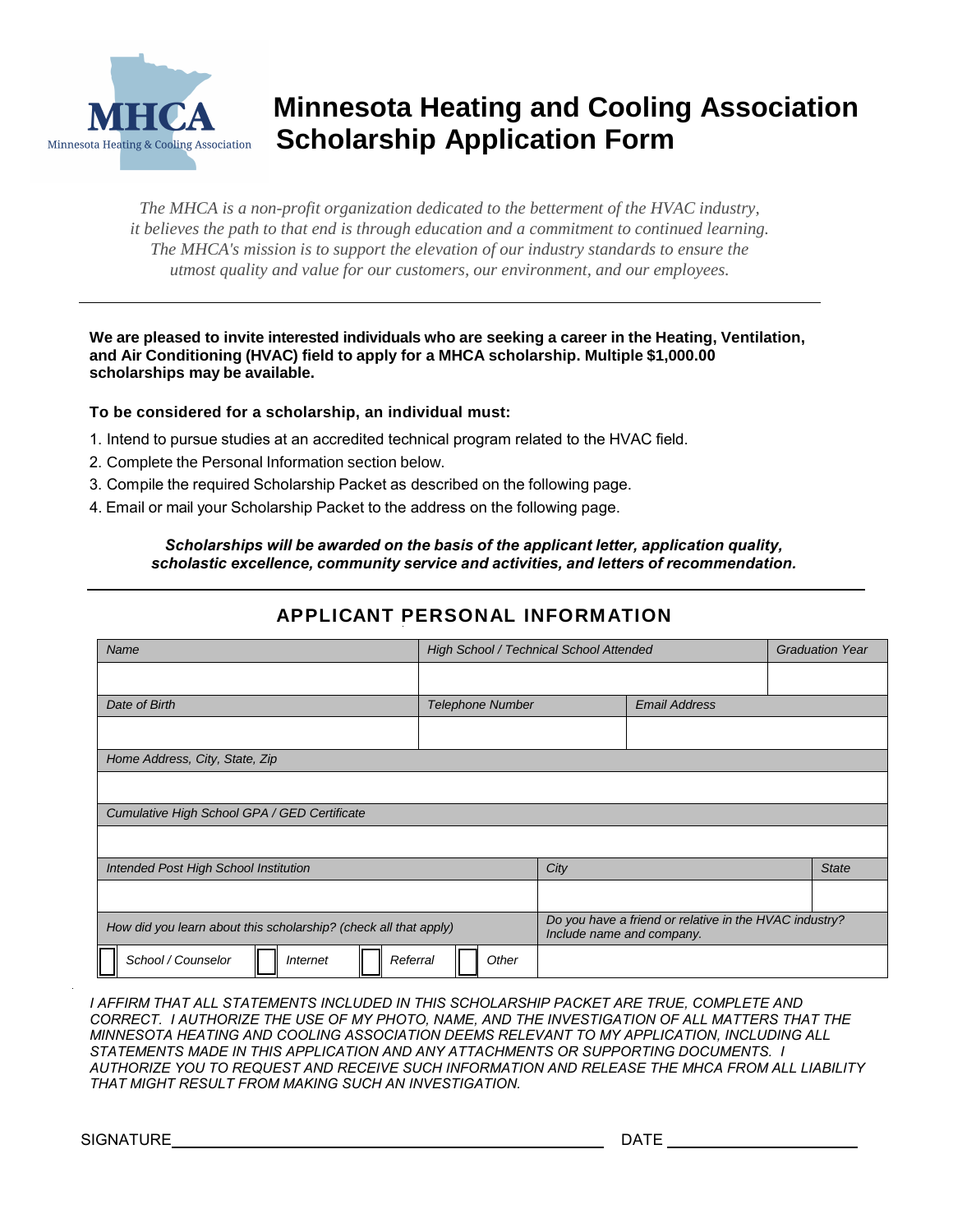

# **Minnesota Heating and Cooling Association Minnesota Heating & Cooling Association** Scholarship Application Form

*The MHCA is a non-profit organization dedicated to the betterment of the HVAC industry, it believes the path to that end is through education and a commitment to continued learning. The MHCA's mission is to support the elevation of our industry standards to ensure the utmost quality and value for our customers, our environment, and our employees.*

**We are pleased to invite interested individuals who are seeking a career in the Heating, Ventilation, and Air Conditioning (HVAC) field to apply for a MHCA scholarship. Multiple \$1,000.00 scholarships may be available.**

#### **To be considered for a scholarship, an individual must:**

- 1. Intend to pursue studies at an accredited technical program related to the HVAC field.
- 2. Complete the Personal Information section below.
- 3. Compile the required Scholarship Packet as described on the following page.
- 4. Email or mail your Scholarship Packet to the address on the following page.

*Scholarships will be awarded on the basis of the applicant letter, application quality, scholastic excellence, community service and activities, and letters of recommendation.*

**APPLICANT PERSONAL INFORMATION** 

| Name                                                             | High School / Technical School Attended |                                                                                     | <b>Graduation Year</b> |  |              |
|------------------------------------------------------------------|-----------------------------------------|-------------------------------------------------------------------------------------|------------------------|--|--------------|
|                                                                  |                                         |                                                                                     |                        |  |              |
| Date of Birth                                                    | <b>Telephone Number</b>                 |                                                                                     | <b>Email Address</b>   |  |              |
|                                                                  |                                         |                                                                                     |                        |  |              |
| Home Address, City, State, Zip                                   |                                         |                                                                                     |                        |  |              |
|                                                                  |                                         |                                                                                     |                        |  |              |
| Cumulative High School GPA / GED Certificate                     |                                         |                                                                                     |                        |  |              |
|                                                                  |                                         |                                                                                     |                        |  |              |
| Intended Post High School Institution                            |                                         | City                                                                                |                        |  | <b>State</b> |
|                                                                  |                                         |                                                                                     |                        |  |              |
| How did you learn about this scholarship? (check all that apply) |                                         | Do you have a friend or relative in the HVAC industry?<br>Include name and company. |                        |  |              |
| School / Counselor<br>Referral<br><b>Internet</b>                | Other                                   |                                                                                     |                        |  |              |

*I AFFIRM THAT ALL STATEMENTS INCLUDED IN THIS SCHOLARSHIP PACKET ARE TRUE, COMPLETE AND CORRECT. I AUTHORIZE THE USE OF MY PHOTO, NAME, AND THE INVESTIGATION OF ALL MATTERS THAT THE MINNESOTA HEATING AND COOLING ASSOCIATION DEEMS RELEVANT TO MY APPLICATION, INCLUDING ALL STATEMENTS MADE IN THIS APPLICATION AND ANY ATTACHMENTS OR SUPPORTING DOCUMENTS. I AUTHORIZE YOU TO REQUEST AND RECEIVE SUCH INFORMATION AND RELEASE THE MHCA FROM ALL LIABILITY THAT MIGHT RESULT FROM MAKING SUCH AN INVESTIGATION.*

SIGNATURE DATE DESCRIPTION OF PROPERTY AND LOCAL DATE OF PROPERTY AND LOCAL DATE OF PROPERTY AND LOCAL DATE OF PROPERTY AND LOCAL DATE OF PROPERTY AND LOCAL DATE OF PROPERTY AND LOCAL DATE OF PROPERTY AND LOCAL DATE OF PRO